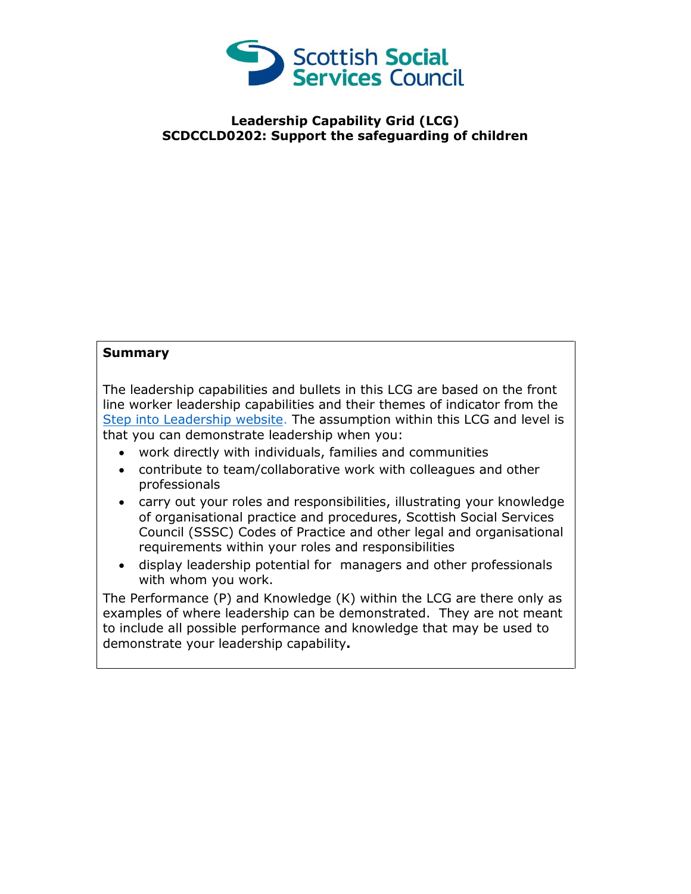

## **Leadership Capability Grid (LCG) SCDCCLD0202: Support the safeguarding of children**

## **Summary**

The leadership capabilities and bullets in this LCG are based on the front line worker leadership capabilities and their themes of indicator from the [Step into Leadership website.](http://www.stepintoleadership.info/) The assumption within this LCG and level is that you can demonstrate leadership when you:

- work directly with individuals, families and communities
- contribute to team/collaborative work with colleagues and other professionals
- carry out your roles and responsibilities, illustrating your knowledge of organisational practice and procedures, Scottish Social Services Council (SSSC) Codes of Practice and other legal and organisational requirements within your roles and responsibilities
- display leadership potential for managers and other professionals with whom you work.

The Performance (P) and Knowledge (K) within the LCG are there only as examples of where leadership can be demonstrated. They are not meant to include all possible performance and knowledge that may be used to demonstrate your leadership capability**.**